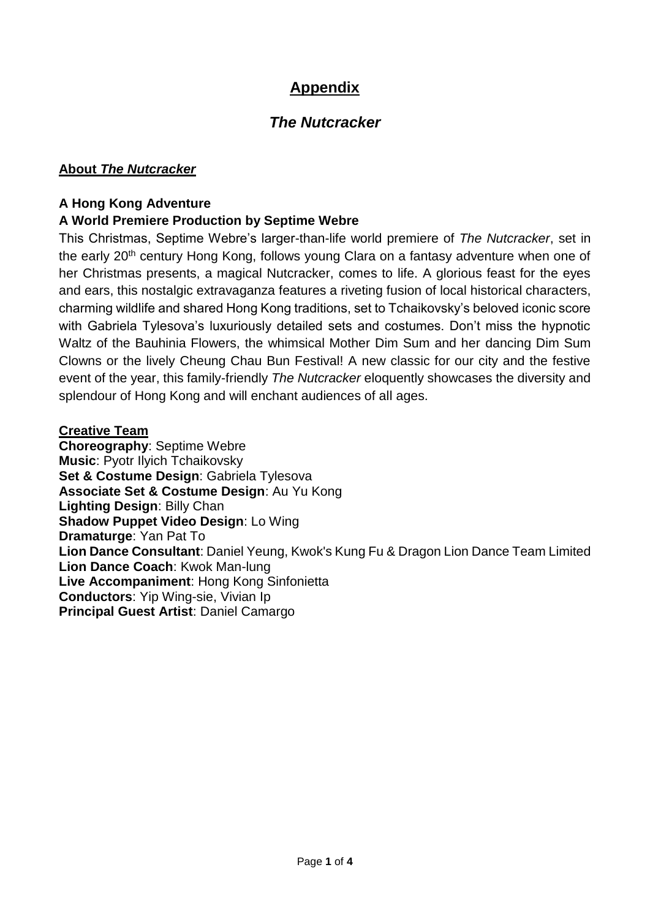# **Appendix**

# *The Nutcracker*

#### **About** *The Nutcracker*

### **A Hong Kong Adventure**

## **A World Premiere Production by Septime Webre**

This Christmas, Septime Webre's larger-than-life world premiere of *The Nutcracker*, set in the early 20<sup>th</sup> century Hong Kong, follows young Clara on a fantasy adventure when one of her Christmas presents, a magical Nutcracker, comes to life. A glorious feast for the eyes and ears, this nostalgic extravaganza features a riveting fusion of local historical characters, charming wildlife and shared Hong Kong traditions, set to Tchaikovsky's beloved iconic score with Gabriela Tylesova's luxuriously detailed sets and costumes. Don't miss the hypnotic Waltz of the Bauhinia Flowers, the whimsical Mother Dim Sum and her dancing Dim Sum Clowns or the lively Cheung Chau Bun Festival! A new classic for our city and the festive event of the year, this family-friendly *The Nutcracker* eloquently showcases the diversity and splendour of Hong Kong and will enchant audiences of all ages.

#### **Creative Team**

**Choreography**: Septime Webre **Music**: Pyotr Ilyich Tchaikovsky **Set & Costume Design**: Gabriela Tylesova **Associate Set & Costume Design**: Au Yu Kong **Lighting Design**: Billy Chan **Shadow Puppet Video Design**: Lo Wing **Dramaturge**: Yan Pat To **Lion Dance Consultant**: Daniel Yeung, Kwok's Kung Fu & Dragon Lion Dance Team Limited **Lion Dance Coach**: Kwok Man-lung **Live Accompaniment**: Hong Kong Sinfonietta **Conductors**: Yip Wing-sie, Vivian Ip **Principal Guest Artist**: Daniel Camargo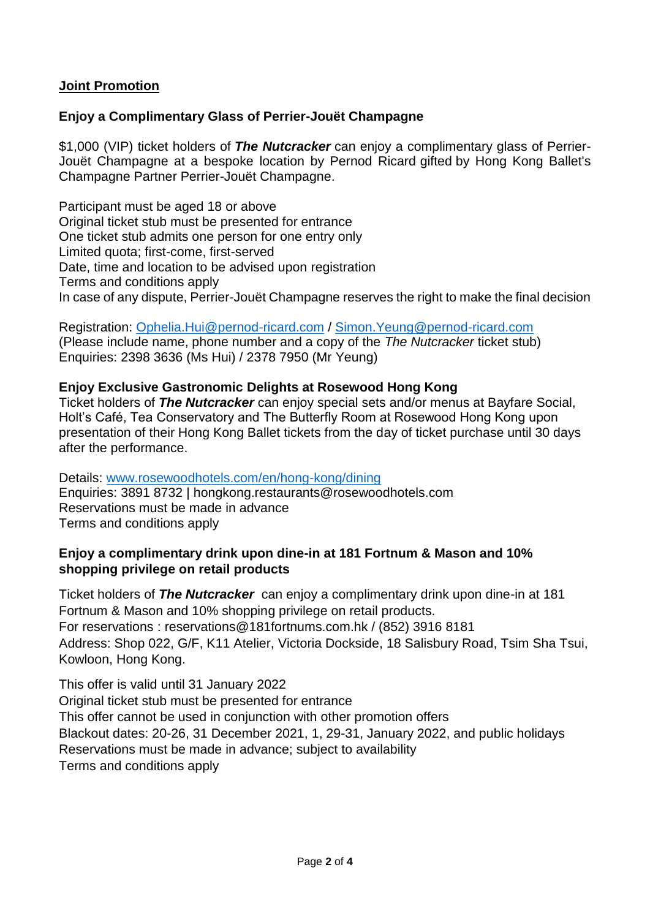### **Joint Promotion**

### **Enjoy a Complimentary Glass of Perrier-Jouët Champagne**

\$1,000 (VIP) ticket holders of *The Nutcracker* can enjoy a complimentary glass of Perrier-Jouët Champagne at a bespoke location by Pernod Ricard gifted by Hong Kong Ballet's Champagne Partner Perrier-Jouët Champagne.

Participant must be aged 18 or above Original ticket stub must be presented for entrance One ticket stub admits one person for one entry only Limited quota; first-come, first-served Date, time and location to be advised upon registration Terms and conditions apply In case of any dispute, Perrier-Jouët Champagne reserves the right to make the final decision

Registration: [Ophelia.Hui@pernod-ricard.com](mailto:Ophelia.Hui@pernod-ricard.com) / [Simon.Yeung@pernod-ricard.com](mailto:Simon.Yeung@pernod-ricard.com) (Please include name, phone number and a copy of the *The Nutcracker* ticket stub) Enquiries: 2398 3636 (Ms Hui) / 2378 7950 (Mr Yeung)

#### **Enjoy Exclusive Gastronomic Delights at Rosewood Hong Kong**

Ticket holders of *The Nutcracker* can enjoy special sets and/or menus at Bayfare Social, Holt's Café, Tea Conservatory and The Butterfly Room at Rosewood Hong Kong upon presentation of their Hong Kong Ballet tickets from the day of ticket purchase until 30 days after the performance.

Details: [www.rosewoodhotels.com/en/hong-kong/dining](http://www.rosewoodhotels.com/en/hong-kong/dining) Enquiries: 3891 8732 | [hongkong.restaurants@rosewoodhotels.com](mailto:hongkong.restaurants@rosewoodhotels.com) Reservations must be made in advance Terms and conditions apply

#### **Enjoy a complimentary drink upon dine-in at 181 Fortnum & Mason and 10% shopping privilege on retail products**

Ticket holders of *The Nutcracker* can enjoy a complimentary drink upon dine-in at 181 Fortnum & Mason and 10% shopping privilege on retail products. For reservations : reservations@181fortnums.com.hk / (852) 3916 8181 Address: Shop 022, G/F, K11 Atelier, Victoria Dockside, 18 Salisbury Road, Tsim Sha Tsui, Kowloon, Hong Kong.

This offer is valid until 31 January 2022 Original ticket stub must be presented for entrance This offer cannot be used in conjunction with other promotion offers Blackout dates: 20-26, 31 December 2021, 1, 29-31, January 2022, and public holidays Reservations must be made in advance; subject to availability Terms and conditions apply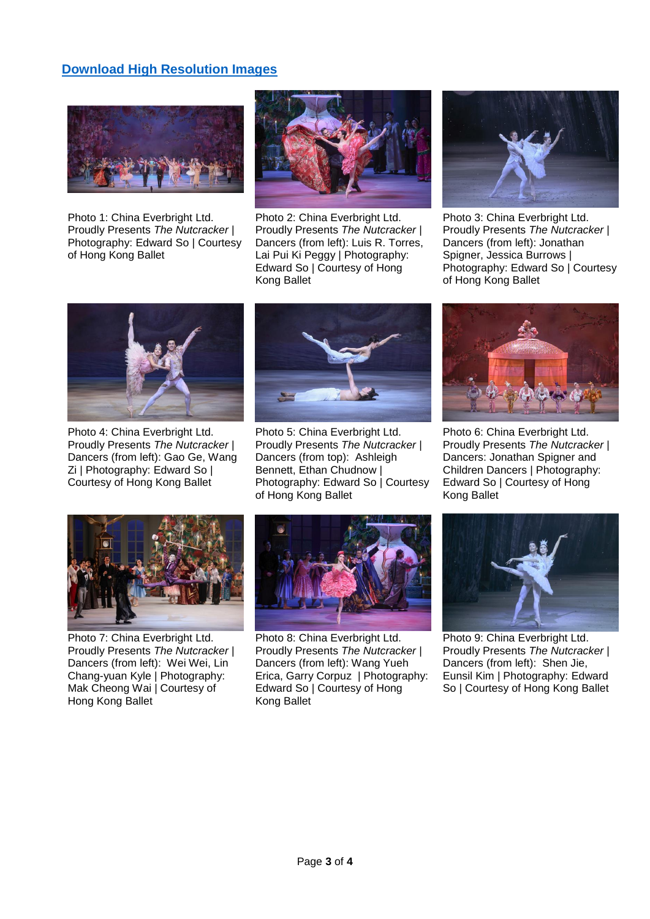#### **[Download High Resolution Images](https://www.dropbox.com/sh/7t2n4udp3lsj900/AAATl23XkkM6-MMAuoCOXV3sa?dl=0)**



Photo 1: China Everbright Ltd. Proudly Presents *The Nutcracker* | Photography: Edward So | Courtesy of Hong Kong Ballet



Photo 2: China Everbright Ltd. Proudly Presents *The Nutcracker* | Dancers (from left): Luis R. Torres, Lai Pui Ki Peggy | Photography: Edward So | Courtesy of Hong Kong Ballet



Photo 3: China Everbright Ltd. Proudly Presents *The Nutcracker* | Dancers (from left): Jonathan Spigner, Jessica Burrows | Photography: Edward So | Courtesy of Hong Kong Ballet



Photo 4: China Everbright Ltd. Proudly Presents *The Nutcracker* | Dancers (from left): Gao Ge, Wang Zi | Photography: Edward So | Courtesy of Hong Kong Ballet



Photo 5: China Everbright Ltd. Proudly Presents *The Nutcracker* | Dancers (from top): Ashleigh Bennett, Ethan Chudnow | Photography: Edward So | Courtesy of Hong Kong Ballet



Photo 6: China Everbright Ltd. Proudly Presents *The Nutcracker* | Dancers: Jonathan Spigner and Children Dancers | Photography: Edward So | Courtesy of Hong Kong Ballet



Photo 7: China Everbright Ltd. Proudly Presents *The Nutcracker* | Dancers (from left): Wei Wei, Lin Chang-yuan Kyle | Photography: Mak Cheong Wai | Courtesy of Hong Kong Ballet



Photo 8: China Everbright Ltd. Proudly Presents *The Nutcracker* | Dancers (from left): Wang Yueh Erica, Garry Corpuz | Photography: Edward So | Courtesy of Hong Kong Ballet



Photo 9: China Everbright Ltd. Proudly Presents *The Nutcracker* | Dancers (from left): Shen Jie, Eunsil Kim | Photography: Edward So | Courtesy of Hong Kong Ballet